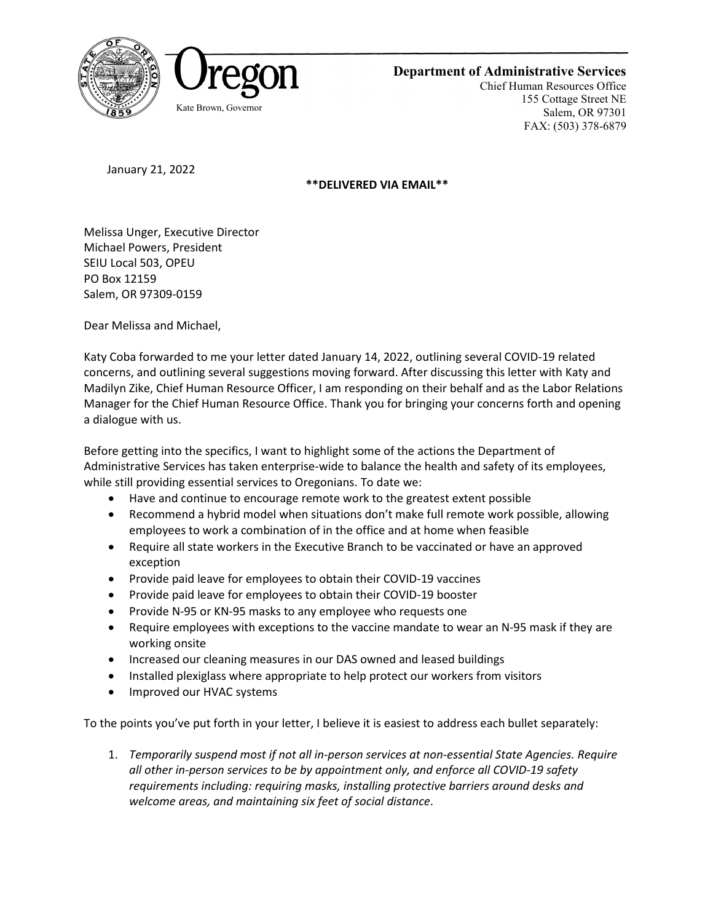



**Department of Administrative Services**

Chief Human Resources Office 155 Cottage Street NE Salem, OR 97301 FAX: (503) 378-6879

January 21, 2022

**\*\*DELIVERED VIA EMAIL\*\***

Melissa Unger, Executive Director Michael Powers, President SEIU Local 503, OPEU PO Box 12159 Salem, OR 97309-0159

Dear Melissa and Michael,

Katy Coba forwarded to me your letter dated January 14, 2022, outlining several COVID-19 related concerns, and outlining several suggestions moving forward. After discussing this letter with Katy and Madilyn Zike, Chief Human Resource Officer, I am responding on their behalf and as the Labor Relations Manager for the Chief Human Resource Office. Thank you for bringing your concerns forth and opening a dialogue with us.

Before getting into the specifics, I want to highlight some of the actions the Department of Administrative Services has taken enterprise-wide to balance the health and safety of its employees, while still providing essential services to Oregonians. To date we:

- Have and continue to encourage remote work to the greatest extent possible
- Recommend a hybrid model when situations don't make full remote work possible, allowing employees to work a combination of in the office and at home when feasible
- Require all state workers in the Executive Branch to be vaccinated or have an approved exception
- Provide paid leave for employees to obtain their COVID-19 vaccines
- Provide paid leave for employees to obtain their COVID-19 booster
- Provide N-95 or KN-95 masks to any employee who requests one
- Require employees with exceptions to the vaccine mandate to wear an N-95 mask if they are working onsite
- Increased our cleaning measures in our DAS owned and leased buildings
- Installed plexiglass where appropriate to help protect our workers from visitors
- Improved our HVAC systems

To the points you've put forth in your letter, I believe it is easiest to address each bullet separately:

1. *Temporarily suspend most if not all in-person services at non-essential State Agencies. Require all other in-person services to be by appointment only, and enforce all COVID-19 safety requirements including: requiring masks, installing protective barriers around desks and welcome areas, and maintaining six feet of social distance*.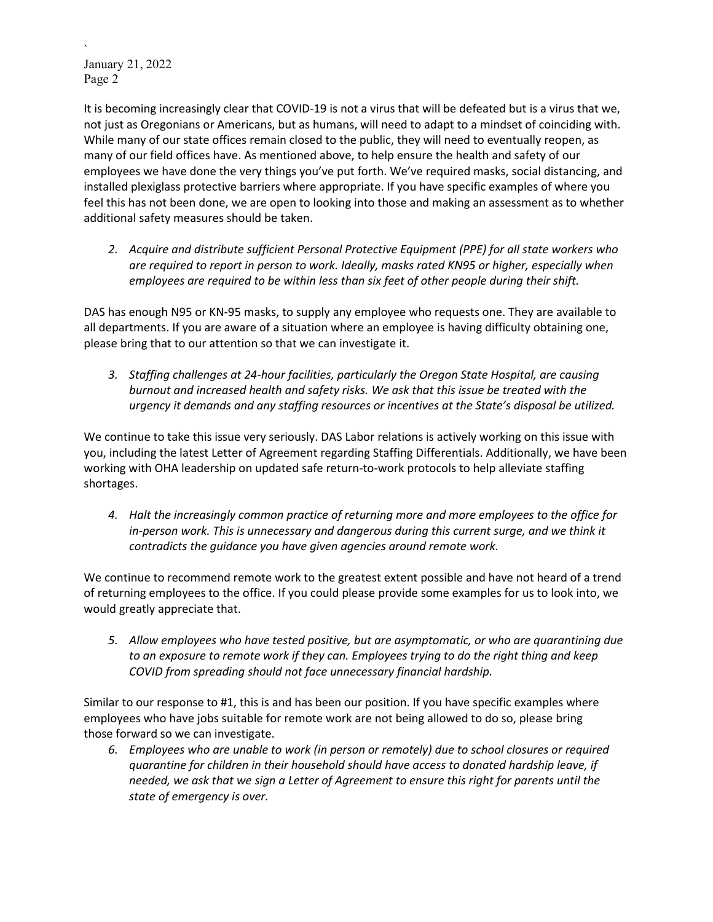` January 21, 2022 Page 2

It is becoming increasingly clear that COVID-19 is not a virus that will be defeated but is a virus that we, not just as Oregonians or Americans, but as humans, will need to adapt to a mindset of coinciding with. While many of our state offices remain closed to the public, they will need to eventually reopen, as many of our field offices have. As mentioned above, to help ensure the health and safety of our employees we have done the very things you've put forth. We've required masks, social distancing, and installed plexiglass protective barriers where appropriate. If you have specific examples of where you feel this has not been done, we are open to looking into those and making an assessment as to whether additional safety measures should be taken.

*2. Acquire and distribute sufficient Personal Protective Equipment (PPE) for all state workers who are required to report in person to work. Ideally, masks rated KN95 or higher, especially when employees are required to be within less than six feet of other people during their shift.*

DAS has enough N95 or KN-95 masks, to supply any employee who requests one. They are available to all departments. If you are aware of a situation where an employee is having difficulty obtaining one, please bring that to our attention so that we can investigate it.

*3. Staffing challenges at 24-hour facilities, particularly the Oregon State Hospital, are causing burnout and increased health and safety risks. We ask that this issue be treated with the urgency it demands and any staffing resources or incentives at the State's disposal be utilized.*

We continue to take this issue very seriously. DAS Labor relations is actively working on this issue with you, including the latest Letter of Agreement regarding Staffing Differentials. Additionally, we have been working with OHA leadership on updated safe return-to-work protocols to help alleviate staffing shortages.

*4. Halt the increasingly common practice of returning more and more employees to the office for in-person work. This is unnecessary and dangerous during this current surge, and we think it contradicts the guidance you have given agencies around remote work.*

We continue to recommend remote work to the greatest extent possible and have not heard of a trend of returning employees to the office. If you could please provide some examples for us to look into, we would greatly appreciate that.

*5. Allow employees who have tested positive, but are asymptomatic, or who are quarantining due to an exposure to remote work if they can. Employees trying to do the right thing and keep COVID from spreading should not face unnecessary financial hardship.*

Similar to our response to #1, this is and has been our position. If you have specific examples where employees who have jobs suitable for remote work are not being allowed to do so, please bring those forward so we can investigate.

*6. Employees who are unable to work (in person or remotely) due to school closures or required quarantine for children in their household should have access to donated hardship leave, if needed, we ask that we sign a Letter of Agreement to ensure this right for parents until the state of emergency is over.*